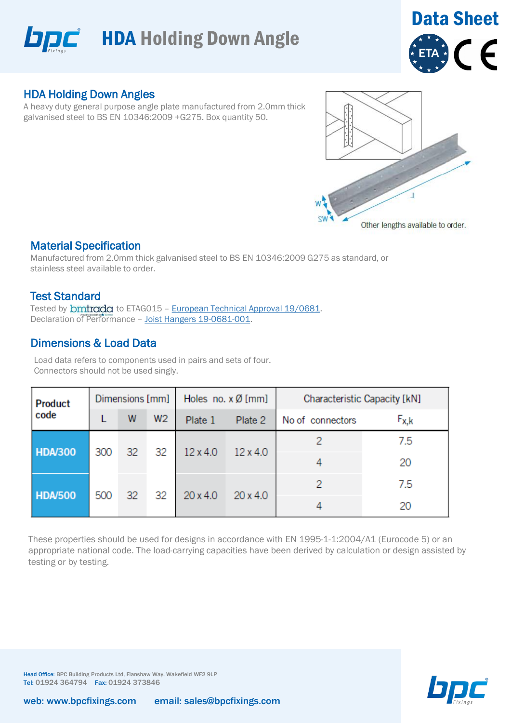



## HDA Holding Down Angles

A heavy duty general purpose angle plate manufactured from 2.0mm thick galvanised steel to BS EN 10346:2009 +G275. Box quantity 50.



### Material Specification

Manufactured from 2.0mm thick galvanised steel to BS EN 10346:2009 G275 as standard, or stainless steel available to order.

### Test Standard

Tested by **bmtrada** to ETAG015 - European Technical Approval 19/0681. Declaration of Performance – Joist Hangers 19-0681-001.

## Dimensions & Load Data

Load data refers to components used in pairs and sets of four. Connectors should not be used singly.

| <b>Product</b><br>code | Dimensions [mm] |    |                | Holes no. $x \emptyset$ [mm] |                 | Characteristic Capacity [kN] |           |  |
|------------------------|-----------------|----|----------------|------------------------------|-----------------|------------------------------|-----------|--|
|                        |                 | W  | W <sub>2</sub> | Plate 1                      | Plate 2         | No of connectors             | $F_{X,k}$ |  |
| <b>HDA/300</b>         | 300             | 32 | 32             | $12 \times 4.0$              | $12 \times 4.0$ |                              | 7.5       |  |
|                        |                 |    |                |                              |                 |                              | 20        |  |
| <b>HDA/500</b>         | 500             | 32 | 32             | $20 \times 4.0$              | $20 \times 4.0$ |                              | 7.5       |  |
|                        |                 |    |                |                              |                 |                              | 20        |  |

These properties should be used for designs in accordance with EN 1995-1-1:2004/A1 (Eurocode 5) or an appropriate national code. The load-carrying capacities have been derived by calculation or design assisted by testing or by testing.



Head Office: BPC Building Products Ltd, Flanshaw Way, Wakefield WF2 9LP Tel: 01924 364794 Fax: 01924 373846